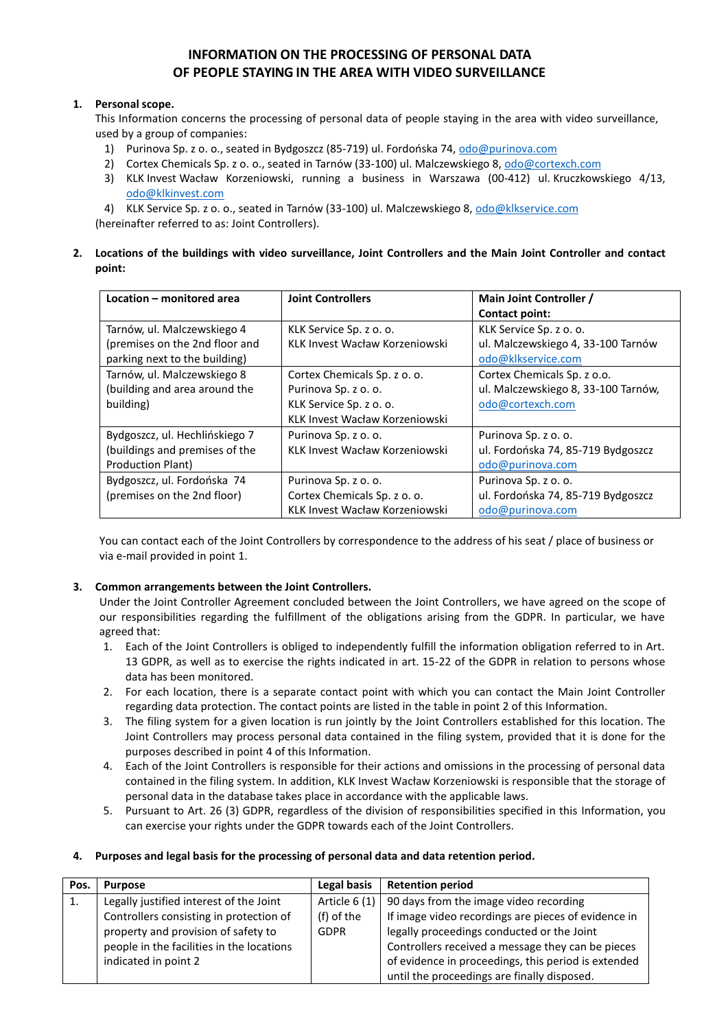# **INFORMATION ON THE PROCESSING OF PERSONAL DATA OF PEOPLE STAYING IN THE AREA WITH VIDEO SURVEILLANCE**

### **1. Personal scope.**

This Information concerns the processing of personal data of people staying in the area with video surveillance, used by a group of companies:

- 1) Purinova Sp. z o. o., seated in Bydgoszcz (85-719) ul. Fordońska 74, [odo@purinova.com](mailto:odo@purinova.com)
- 2) Cortex Chemicals Sp. z o. o., seated in Tarnów (33-100) ul. Malczewskiego 8[, odo@cortexch.com](mailto:odo@cortexch.com)
- 3) KLK Invest Wacław Korzeniowski, running a business in Warszawa (00-412) ul. Kruczkowskiego 4/13, [odo@klkinvest.com](mailto:odo@klkinvest.com)
- 4) KLK Service Sp. z o. o., seated in Tarnów (33-100) ul. Malczewskiego 8, [odo@klkservice.com](mailto:odo@klkservice.com) (hereinafter referred to as: Joint Controllers).
- **2. Locations of the buildings with video surveillance, Joint Controllers and the Main Joint Controller and contact point:**

| Location - monitored area      | <b>Joint Controllers</b>       | Main Joint Controller /             |  |
|--------------------------------|--------------------------------|-------------------------------------|--|
|                                |                                | Contact point:                      |  |
| Tarnów, ul. Malczewskiego 4    | KLK Service Sp. z o. o.        | KLK Service Sp. z o. o.             |  |
| (premises on the 2nd floor and | KLK Invest Wacław Korzeniowski | ul. Malczewskiego 4, 33-100 Tarnów  |  |
| parking next to the building)  |                                | odo@klkservice.com                  |  |
| Tarnów, ul. Malczewskiego 8    | Cortex Chemicals Sp. z o. o.   | Cortex Chemicals Sp. z o.o.         |  |
| (building and area around the  | Purinova Sp. z o. o.           | ul. Malczewskiego 8, 33-100 Tarnów, |  |
| building)                      | KLK Service Sp. z o. o.        | odo@cortexch.com                    |  |
|                                | KLK Invest Wacław Korzeniowski |                                     |  |
| Bydgoszcz, ul. Hechlińskiego 7 | Purinova Sp. z o. o.           | Purinova Sp. z o. o.                |  |
| (buildings and premises of the | KLK Invest Wacław Korzeniowski | ul. Fordońska 74, 85-719 Bydgoszcz  |  |
| Production Plant)              |                                | odo@purinova.com                    |  |
| Bydgoszcz, ul. Fordońska 74    | Purinova Sp. z o. o.           | Purinova Sp. z o. o.                |  |
| (premises on the 2nd floor)    | Cortex Chemicals Sp. z o. o.   | ul. Fordońska 74, 85-719 Bydgoszcz  |  |
|                                | KLK Invest Wacław Korzeniowski | odo@purinova.com                    |  |

You can contact each of the Joint Controllers by correspondence to the address of his seat / place of business or via e-mail provided in point 1.

### **3. Common arrangements between the Joint Controllers.**

Under the Joint Controller Agreement concluded between the Joint Controllers, we have agreed on the scope of our responsibilities regarding the fulfillment of the obligations arising from the GDPR. In particular, we have agreed that:

- 1. Each of the Joint Controllers is obliged to independently fulfill the information obligation referred to in Art. 13 GDPR, as well as to exercise the rights indicated in art. 15-22 of the GDPR in relation to persons whose data has been monitored.
- 2. For each location, there is a separate contact point with which you can contact the Main Joint Controller regarding data protection. The contact points are listed in the table in point 2 of this Information.
- 3. The filing system for a given location is run jointly by the Joint Controllers established for this location. The Joint Controllers may process personal data contained in the filing system, provided that it is done for the purposes described in point 4 of this Information.
- 4. Each of the Joint Controllers is responsible for their actions and omissions in the processing of personal data contained in the filing system. In addition, KLK Invest Wacław Korzeniowski is responsible that the storage of personal data in the database takes place in accordance with the applicable laws.
- 5. Pursuant to Art. 26 (3) GDPR, regardless of the division of responsibilities specified in this Information, you can exercise your rights under the GDPR towards each of the Joint Controllers.

#### **4. Purposes and legal basis for the processing of personal data and data retention period.**

| Pos. | <b>Purpose</b>                            | Legal basis   | <b>Retention period</b>                             |
|------|-------------------------------------------|---------------|-----------------------------------------------------|
| 1.   | Legally justified interest of the Joint   | Article 6 (1) | 90 days from the image video recording              |
|      | Controllers consisting in protection of   | (f) of the    | If image video recordings are pieces of evidence in |
|      | property and provision of safety to       | <b>GDPR</b>   | legally proceedings conducted or the Joint          |
|      | people in the facilities in the locations |               | Controllers received a message they can be pieces   |
|      | indicated in point 2                      |               | of evidence in proceedings, this period is extended |
|      |                                           |               | until the proceedings are finally disposed.         |